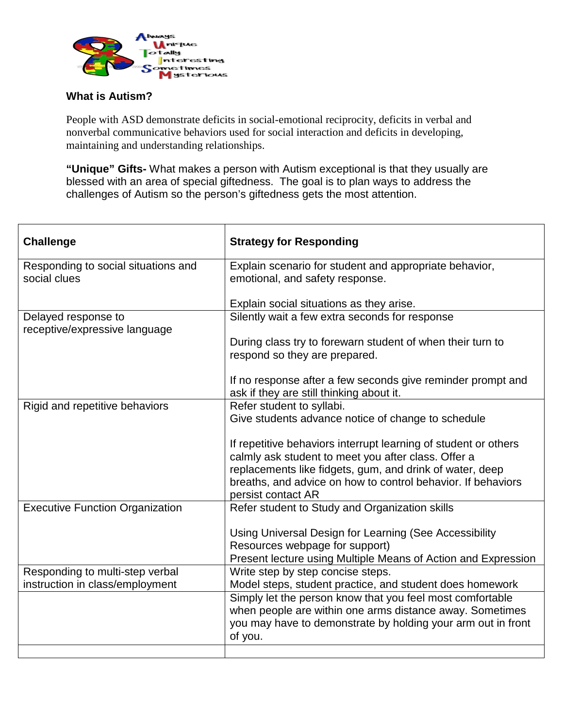

## **What is Autism?**

People with ASD demonstrate deficits in social-emotional reciprocity, deficits in verbal and nonverbal communicative behaviors used for social interaction and deficits in developing, maintaining and understanding relationships.

**"Unique" Gifts-** What makes a person with Autism exceptional is that they usually are blessed with an area of special giftedness. The goal is to plan ways to address the challenges of Autism so the person's giftedness gets the most attention.

| <b>Challenge</b>                                     | <b>Strategy for Responding</b>                                                                                         |
|------------------------------------------------------|------------------------------------------------------------------------------------------------------------------------|
| Responding to social situations and                  | Explain scenario for student and appropriate behavior,                                                                 |
| social clues                                         | emotional, and safety response.                                                                                        |
|                                                      | Explain social situations as they arise.                                                                               |
| Delayed response to<br>receptive/expressive language | Silently wait a few extra seconds for response                                                                         |
|                                                      | During class try to forewarn student of when their turn to<br>respond so they are prepared.                            |
|                                                      | If no response after a few seconds give reminder prompt and<br>ask if they are still thinking about it.                |
| Rigid and repetitive behaviors                       | Refer student to syllabi.                                                                                              |
|                                                      | Give students advance notice of change to schedule                                                                     |
|                                                      | If repetitive behaviors interrupt learning of student or others<br>calmly ask student to meet you after class. Offer a |
|                                                      | replacements like fidgets, gum, and drink of water, deep                                                               |
|                                                      | breaths, and advice on how to control behavior. If behaviors<br>persist contact AR                                     |
| <b>Executive Function Organization</b>               | Refer student to Study and Organization skills                                                                         |
|                                                      | Using Universal Design for Learning (See Accessibility                                                                 |
|                                                      | Resources webpage for support)                                                                                         |
|                                                      | Present lecture using Multiple Means of Action and Expression                                                          |
| Responding to multi-step verbal                      | Write step by step concise steps.                                                                                      |
| instruction in class/employment                      | Model steps, student practice, and student does homework                                                               |
|                                                      | Simply let the person know that you feel most comfortable                                                              |
|                                                      | when people are within one arms distance away. Sometimes                                                               |
|                                                      | you may have to demonstrate by holding your arm out in front<br>of you.                                                |
|                                                      |                                                                                                                        |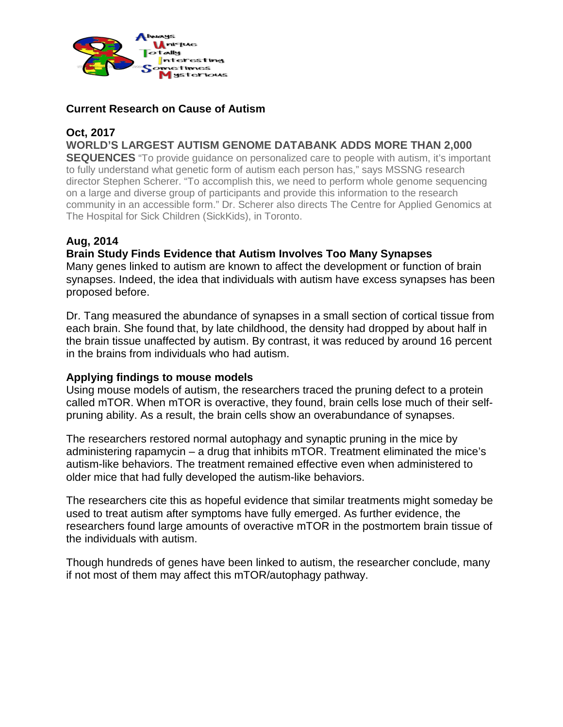

## **Current Research on Cause of Autism**

## **Oct, 2017**

**WORLD'S LARGEST AUTISM GENOME DATABANK ADDS MORE THAN 2,000** 

**SEQUENCES** "To provide quidance on personalized care to people with autism, it's important to fully understand what genetic form of autism each person has," says MSSNG research director Stephen Scherer. "To accomplish this, we need to perform whole genome sequencing on a large and diverse group of participants and provide this information to the research community in an accessible form." Dr. Scherer also directs The Centre for Applied Genomics at The Hospital for Sick Children (SickKids), in Toronto.

# **Aug, 2014**

## **Brain Study Finds Evidence that Autism Involves Too Many Synapses**

Many genes linked to autism are known to affect the development or function of brain synapses. Indeed, the idea that individuals with autism have excess synapses has been proposed before.

Dr. Tang measured the abundance of synapses in a small section of cortical tissue from each brain. She found that, by late childhood, the density had dropped by about half in the brain tissue unaffected by autism. By contrast, it was reduced by around 16 percent in the brains from individuals who had autism.

## **Applying findings to mouse models**

Using mouse models of autism, the researchers traced the pruning defect to a protein called mTOR. When mTOR is overactive, they found, brain cells lose much of their selfpruning ability. As a result, the brain cells show an overabundance of synapses.

The researchers restored normal autophagy and synaptic pruning in the mice by administering rapamycin – a drug that inhibits mTOR. Treatment eliminated the mice's autism-like behaviors. The treatment remained effective even when administered to older mice that had fully developed the autism-like behaviors.

The researchers cite this as hopeful evidence that similar treatments might someday be used to treat autism after symptoms have fully emerged. As further evidence, the researchers found large amounts of overactive mTOR in the postmortem brain tissue of the individuals with autism.

Though hundreds of genes have been linked to autism, the researcher conclude, many if not most of them may affect this mTOR/autophagy pathway.